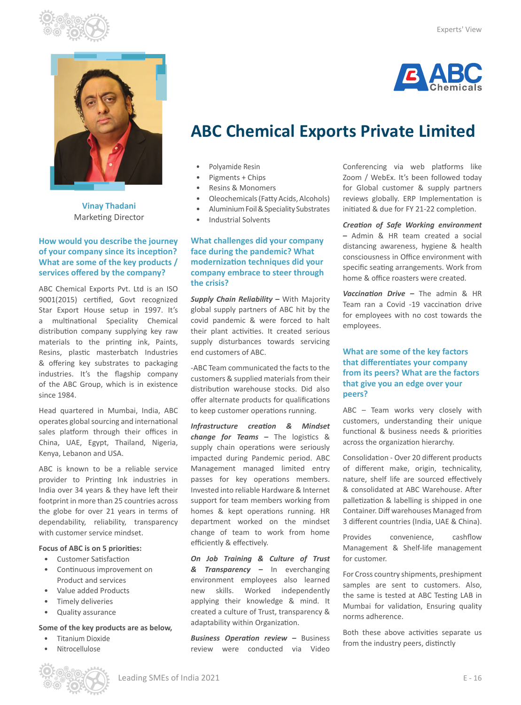



**Vinay Thadani** Marketing Director

# **How would you describe the journey of your company since its inception? What are some of the key products / services offered by the company?**

ABC Chemical Exports Pvt. Ltd is an ISO 9001(2015) certified, Govt recognized Star Export House setup in 1997. It's a multinational Speciality Chemical distribution company supplying key raw materials to the printing ink, Paints, Resins, plastic masterbatch Industries & offering key substrates to packaging industries. It's the flagship company of the ABC Group, which is in existence since 1984.

Head quartered in Mumbai, India, ABC operates global sourcing and international sales platform through their offices in China, UAE, Egypt, Thailand, Nigeria, Kenya, Lebanon and USA.

ABC is known to be a reliable service provider to Printing Ink industries in India over 34 years & they have left their footprint in more than 25 countries across the globe for over 21 years in terms of dependability, reliability, transparency with customer service mindset.

### **Focus of ABC is on 5 priorities:**

- Customer Satisfaction
- Continuous improvement on Product and services
- Value added Products
- Timely deliveries
- Quality assurance

### **Some of the key products are as below,**

- Titanium Dioxide
- Nitrocellulose

**G ABC** 

# **ABC Chemical Exports Private Limited**

- Polyamide Resin
- Pigments + Chips
- Resins & Monomers
- Oleochemicals (Fatty Acids, Alcohols)
- Aluminium Foil & Speciality Substrates
- Industrial Solvents

# **What challenges did your company face during the pandemic? What modernization techniques did your company embrace to steer through the crisis?**

*Supply Chain Reliability –* With Majority global supply partners of ABC hit by the covid pandemic & were forced to halt their plant activities. It created serious supply disturbances towards servicing end customers of ABC.

-ABC Team communicated the facts to the customers & supplied materials from their distribution warehouse stocks. Did also offer alternate products for qualifications to keep customer operations running.

*Infrastructure creation & Mindset change for Teams –* The logistics & supply chain operations were seriously impacted during Pandemic period. ABC Management managed limited entry passes for key operations members. Invested into reliable Hardware & Internet support for team members working from homes & kept operations running. HR department worked on the mindset change of team to work from home efficiently & effectively.

*On Job Training & Culture of Trust & Transparency –* In everchanging environment employees also learned new skills. Worked independently applying their knowledge & mind. It created a culture of Trust, transparency & adaptability within Organization.

*Business Operation review –* Business review were conducted via Video

Conferencing via web platforms like Zoom / WebEx. It's been followed today for Global customer & supply partners reviews globally. ERP Implementation is initiated & due for FY 21-22 completion.

*Creation of Safe Working environment –* Admin & HR team created a social distancing awareness, hygiene & health consciousness in Office environment with specific seating arrangements. Work from home & office roasters were created.

*Vaccination Drive –* The admin & HR Team ran a Covid -19 vaccination drive for employees with no cost towards the employees.

## **What are some of the key factors that differentiates your company from its peers? What are the factors that give you an edge over your peers?**

ABC – Team works very closely with customers, understanding their unique functional & business needs & priorities across the organization hierarchy.

Consolidation - Over 20 different products of different make, origin, technicality, nature, shelf life are sourced effectively & consolidated at ABC Warehouse. After palletization & labelling is shipped in one Container. Diff warehouses Managed from 3 different countries (India, UAE & China).

Provides convenience, cashflow Management & Shelf-life management for customer.

For Cross country shipments, preshipment samples are sent to customers. Also, the same is tested at ABC Testing LAB in Mumbai for validation, Ensuring quality norms adherence.

Both these above activities separate us from the industry peers, distinctly